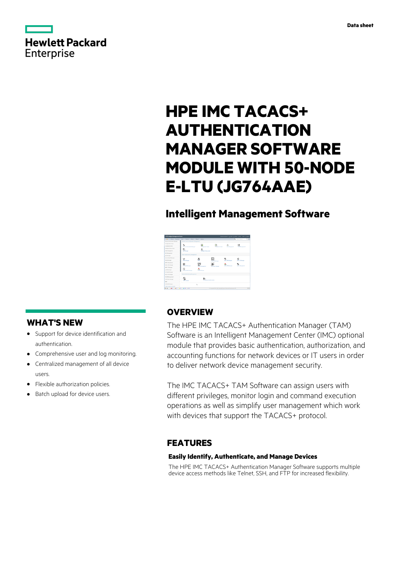

# **HPE IMC TACACS+ AUTHENTICATION MANAGER SOFTWARE MODULE WITH 50-NODE E-LTU (JG764AAE)**

# **Intelligent Management Software**

| HPE Intelligent Management Center   |                                       |                           |                                                                  |                       | Orlean Forcestor W. 28, which all Dealings (1994). 1. Allege, Children |
|-------------------------------------|---------------------------------------|---------------------------|------------------------------------------------------------------|-----------------------|------------------------------------------------------------------------|
| New Assess that<br><b>CONTINUES</b> | <b>Novement</b>                       | Alarm Asset Batter        |                                                                  |                       | No. Goodman<br>1, 14                                                   |
| <b>Bestura Automation Manager</b>   | Revisers and Configuration Management |                           |                                                                  |                       |                                                                        |
| Configuration Center                | 6                                     | o                         |                                                                  | sin.                  |                                                                        |
| <b>Constanzione</b>                 | a Adomatic Vanger                     | an Factor                 | <b>COLOR</b>                                                     | An Internet           | <b>Bally Margaret</b>                                                  |
| <b>Intelligent Policy Center</b>    | 悶                                     |                           |                                                                  |                       |                                                                        |
| VURNISIEREN                         | <b>Call Manager</b>                   | et Roley Center           |                                                                  |                       |                                                                        |
| Alli Matagement                     | <b>Value Added Service Management</b> |                           |                                                                  |                       |                                                                        |
| Gril Manager                        |                                       |                           |                                                                  |                       |                                                                        |
| Senior Health Manager               | 0.0                                   |                           |                                                                  |                       |                                                                        |
| <b>Worth Warranty</b>               | M.M.Warager                           |                           | ы<br><b>COLOR Manager</b>                                        | <b>Buy Mik Warana</b> | MPLS 10 Maragar                                                        |
| <b>MRILMANNING</b>                  |                                       |                           | 560                                                              |                       |                                                                        |
| <b>MRILLYRK Manager</b>             | G<br><b>County</b> Margaret           | an a                      | <b><i><u>START GAS Manager</u></i></b>                           | <b>MPD SPRINGHOU</b>  | <b>SAN STATISTICS</b>                                                  |
| <b>MRA Witness</b>                  | 田                                     |                           |                                                                  |                       |                                                                        |
| Little Manager                      |                                       | <b>Children</b>           |                                                                  |                       |                                                                        |
| UC Hash Munerer                     |                                       |                           |                                                                  |                       |                                                                        |
| Pan VPk Manager<br>٠                | <b>Refared Municipy Management</b>    |                           |                                                                  |                       |                                                                        |
| VICAN Vienpower<br>١                |                                       |                           |                                                                  |                       |                                                                        |
| VAN Fatals Warager<br>٠             | <b><i><u>Santa Aradian</u></i></b>    | ter Schedule South Andrew |                                                                  |                       |                                                                        |
| m-<br>٠                             |                                       |                           |                                                                  |                       |                                                                        |
| you she manager<br>ï                |                                       | b.                        |                                                                  |                       |                                                                        |
| Traffic Analysis and Audit<br>٠     |                                       |                           |                                                                  |                       |                                                                        |
| <b>BIS AN AN AN AN AMERICA</b>      |                                       |                           | E Crassigni 2015, 2014 Newton Packard Reservation Development LP |                       | 百官                                                                     |

# **WHAT'S NEW**

- **·** Support for device identification and authentication.
- **·** Comprehensive user and log monitoring.
- **·** Centralized management of all device users.
- **·** Flexible authorization policies.
- **·** Batch upload for device users.

# **OVERVIEW**

The HPE IMC TACACS+ Authentication Manager (TAM) Software is an Intelligent Management Center (IMC) optional module that provides basic authentication, authorization, and accounting functions for network devices or IT users in order to deliver network device management security.

The IMC TACACS+ TAM Software can assign users with different privileges, monitor login and command execution operations as well as simplify user management which work with devices that support the TACACS+ protocol.

# **FEATURES**

### **Easily Identify, Authenticate, and Manage Devices**

The HPE IMC TACACS+ Authentication Manager Software supports multiple device access methods like Telnet, SSH, and FTP for increased flexibility.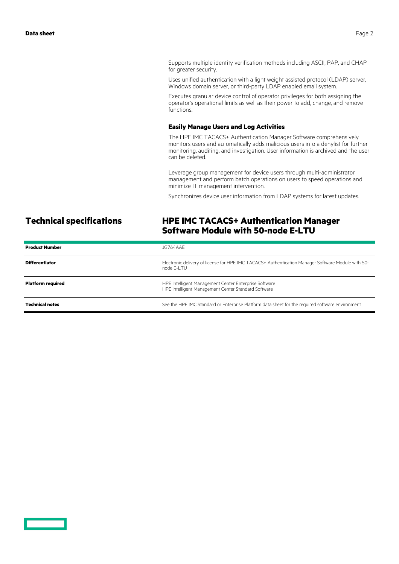Supports multiple identity verification methods including ASCII, PAP, and CHAP for greater security.

Uses unified authentication with a light weight assisted protocol (LDAP) server, Windows domain server, or third-party LDAP enabled email system.

Executes granular device control of operator privileges for both assigning the operator's operational limits as well as their power to add, change, and remove functions.

### **Easily Manage Users and Log Activities**

The HPE IMC TACACS+ Authentication Manager Software comprehensively monitors users and automatically adds malicious users into a denylist for further monitoring, auditing, and investigation. User information is archived and the user can be deleted.

Leverage group management for device users through multi-administrator management and perform batch operations on users to speed operations and minimize IT management intervention.

Synchronizes device user information from LDAP systems for latest updates.

### **Technical specifications HPE IMC TACACS+ Authentication Manager Software Module with 50-node E-LTU**

| <b>Product Number</b>    | JG764AAF                                                                                                          |
|--------------------------|-------------------------------------------------------------------------------------------------------------------|
| <b>Differentiator</b>    | Electronic delivery of license for HPE IMC TACACS+ Authentication Manager Software Module with 50-<br>node F-I TU |
| <b>Platform required</b> | HPE Intelligent Management Center Enterprise Software<br>HPE Intelligent Management Center Standard Software      |
| <b>Technical notes</b>   | See the HPE IMC Standard or Enterprise Platform data sheet for the required software environment.                 |